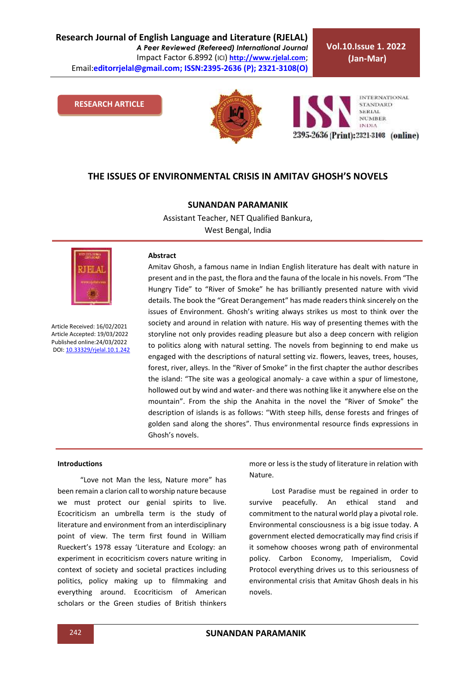**Research Journal of English Language and Literature (RJELAL)** *A Peer Reviewed (Refereed) International Journal* Impact Factor 6.8992 (ICI) **[http://www.rjelal.com](http://www.rjelal.com/)**; Email:**editorrjelal@gmail.com; ISSN:2395-2636 (P); 2321-3108(O)** 

**Vol.10.Issue 1. 2022 (Jan-Mar)**

### **RESEARCH ARTICLE**



**INTERNATIONAL STANDARD** SERIAL **NUMBER INDIA** 2395-2636 (Print): 2321-3108 (online)

# **THE ISSUES OF ENVIRONMENTAL CRISIS IN AMITAV GHOSH'S NOVELS**

# **SUNANDAN PARAMANIK**

Assistant Teacher, NET Qualified Bankura, West Bengal, India



Article Received: 16/02/2021 Article Accepted: 19/03/2022 Published online:24/03/2022 DOI[: 10.33329/rjelal.10.1.2](http://www.rjelal.com/)42

#### **Abstract**

Amitav Ghosh, a famous name in Indian English literature has dealt with nature in present and in the past, the flora and the fauna of the locale in his novels. From "The Hungry Tide" to "River of Smoke" he has brilliantly presented nature with vivid details. The book the "Great Derangement" has made readers think sincerely on the issues of Environment. Ghosh's writing always strikes us most to think over the society and around in relation with nature. His way of presenting themes with the storyline not only provides reading pleasure but also a deep concern with religion to politics along with natural setting. The novels from beginning to end make us engaged with the descriptions of natural setting viz. flowers, leaves, trees, houses, forest, river, alleys. In the "River of Smoke" in the first chapter the author describes the island: "The site was a geological anomaly- a cave within a spur of limestone, hollowed out by wind and water- and there was nothing like it anywhere else on the mountain". From the ship the Anahita in the novel the "River of Smoke" the description of islands is as follows: "With steep hills, dense forests and fringes of golden sand along the shores". Thus environmental resource finds expressions in Ghosh's novels.

### **Introductions**

"Love not Man the less, Nature more" has been remain a clarion call to worship nature because we must protect our genial spirits to live. Ecocriticism an umbrella term is the study of literature and environment from an interdisciplinary point of view. The term first found in William Rueckert's 1978 essay 'Literature and Ecology: an experiment in ecocriticism covers nature writing in context of society and societal practices including politics, policy making up to filmmaking and everything around. Ecocriticism of American scholars or the Green studies of British thinkers more or less is the study of literature in relation with Nature.

Lost Paradise must be regained in order to survive peacefully. An ethical stand and commitment to the natural world play a pivotal role. Environmental consciousness is a big issue today. A government elected democratically may find crisis if it somehow chooses wrong path of environmental policy. Carbon Economy, Imperialism, Covid Protocol everything drives us to this seriousness of environmental crisis that Amitav Ghosh deals in his novels.